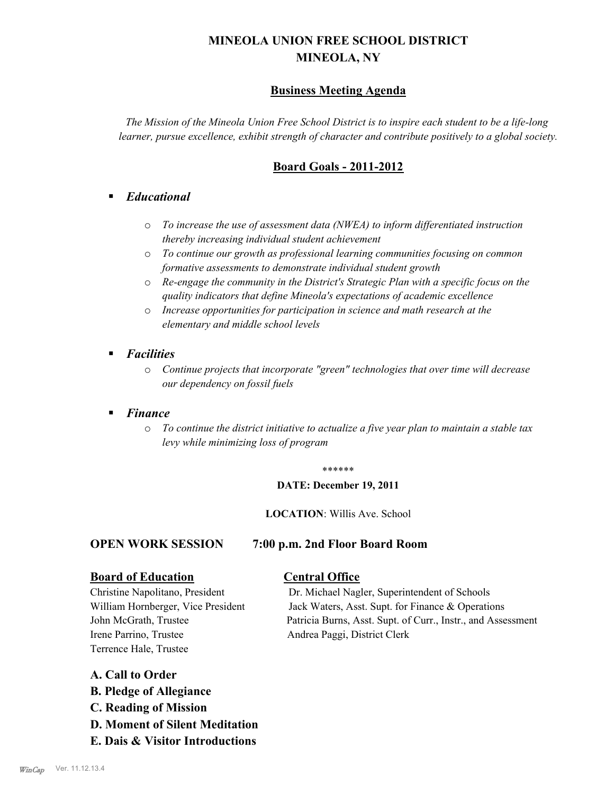# **MINEOLA UNION FREE SCHOOL DISTRICT MINEOLA, NY**

# **Business Meeting Agenda**

*The Mission of the Mineola Union Free School District is to inspire each student to be a life-long learner, pursue excellence, exhibit strength of character and contribute positively to a global society.*

# **Board Goals - 2011-2012**

# § *Educational*

- o *To increase the use of assessment data (NWEA) to inform differentiated instruction thereby increasing individual student achievement*
- o *To continue our growth as professional learning communities focusing on common formative assessments to demonstrate individual student growth*
- o *Re-engage the community in the District's Strategic Plan with a specific focus on the quality indicators that define Mineola's expectations of academic excellence*
- o *Increase opportunities for participation in science and math research at the elementary and middle school levels*
- *Facilities* 
	- o *Continue projects that incorporate "green" technologies that over time will decrease our dependency on fossil fuels*

## § *Finance*

o *To continue the district initiative to actualize a five year plan to maintain a stable tax levy while minimizing loss of program*

#### \*\*\*\*\*\*

#### **DATE: December 19, 2011**

**LOCATION**: Willis Ave. School

#### **OPEN WORK SESSION 7:00 p.m. 2nd Floor Board Room**

# **Board of Education Central Office**

Irene Parrino, Trustee Andrea Paggi, District Clerk Terrence Hale, Trustee

Christine Napolitano, President Dr. Michael Nagler, Superintendent of Schools William Hornberger, Vice President Jack Waters, Asst. Supt. for Finance & Operations John McGrath, Trustee Patricia Burns, Asst. Supt. of Curr., Instr., and Assessment

### **A. Call to Order**

- **B. Pledge of Allegiance**
- **C. Reading of Mission**
- **D. Moment of Silent Meditation**
- **E. Dais & Visitor Introductions**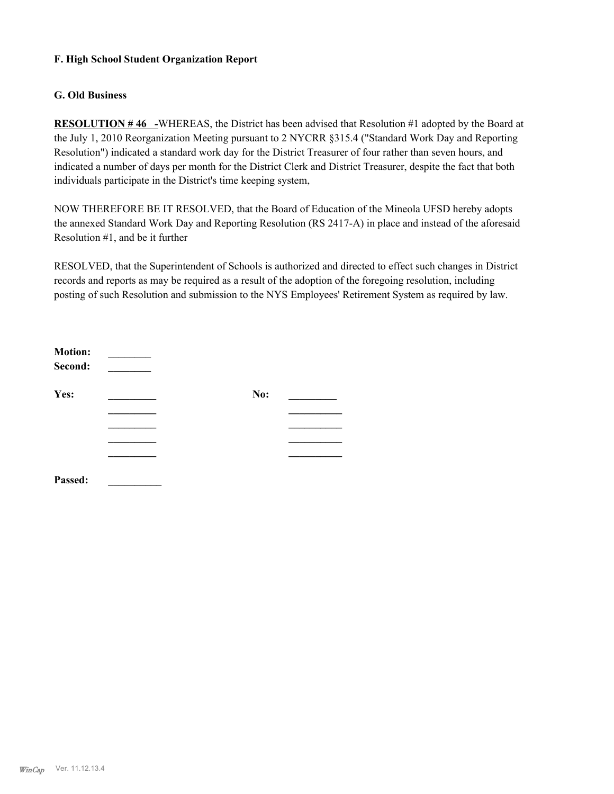### **F. High School Student Organization Report**

### **G. Old Business**

**RESOLUTION # 46 -**WHEREAS, the District has been advised that Resolution #1 adopted by the Board at the July 1, 2010 Reorganization Meeting pursuant to 2 NYCRR §315.4 ("Standard Work Day and Reporting Resolution") indicated a standard work day for the District Treasurer of four rather than seven hours, and indicated a number of days per month for the District Clerk and District Treasurer, despite the fact that both individuals participate in the District's time keeping system,

NOW THEREFORE BE IT RESOLVED, that the Board of Education of the Mineola UFSD hereby adopts the annexed Standard Work Day and Reporting Resolution (RS 2417-A) in place and instead of the aforesaid Resolution #1, and be it further

RESOLVED, that the Superintendent of Schools is authorized and directed to effect such changes in District records and reports as may be required as a result of the adoption of the foregoing resolution, including posting of such Resolution and submission to the NYS Employees' Retirement System as required by law.

| <b>Motion:</b><br>Second: |     |  |
|---------------------------|-----|--|
| Yes:                      | No: |  |
|                           |     |  |
|                           |     |  |
|                           |     |  |
|                           |     |  |
| Passed:                   |     |  |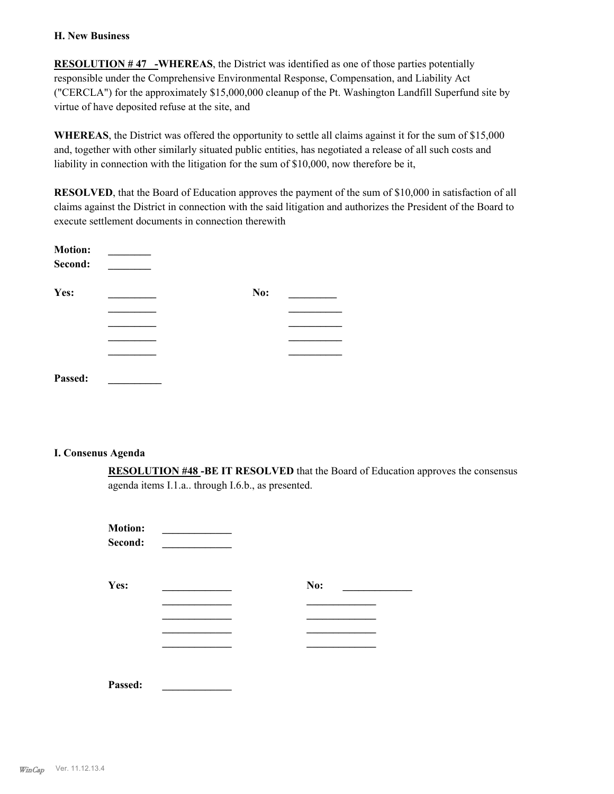#### **H. New Business**

**RESOLUTION # 47 -WHEREAS**, the District was identified as one of those parties potentially responsible under the Comprehensive Environmental Response, Compensation, and Liability Act ("CERCLA") for the approximately \$15,000,000 cleanup of the Pt. Washington Landfill Superfund site by virtue of have deposited refuse at the site, and

**WHEREAS**, the District was offered the opportunity to settle all claims against it for the sum of \$15,000 and, together with other similarly situated public entities, has negotiated a release of all such costs and liability in connection with the litigation for the sum of \$10,000, now therefore be it,

**RESOLVED**, that the Board of Education approves the payment of the sum of \$10,000 in satisfaction of all claims against the District in connection with the said litigation and authorizes the President of the Board to execute settlement documents in connection therewith

| <b>Motion:</b><br>Second: |     |  |
|---------------------------|-----|--|
| Yes:                      | No: |  |
|                           |     |  |
|                           |     |  |
|                           |     |  |
|                           |     |  |
| Passed:                   |     |  |

### **I. Consenus Agenda**

**RESOLUTION #48 -BE IT RESOLVED** that the Board of Education approves the consensus agenda items I.1.a.. through I.6.b., as presented.

| <b>Motion:</b><br>Second: |     |
|---------------------------|-----|
| Yes:                      | No: |
|                           |     |
|                           |     |
|                           |     |
| Passed:                   |     |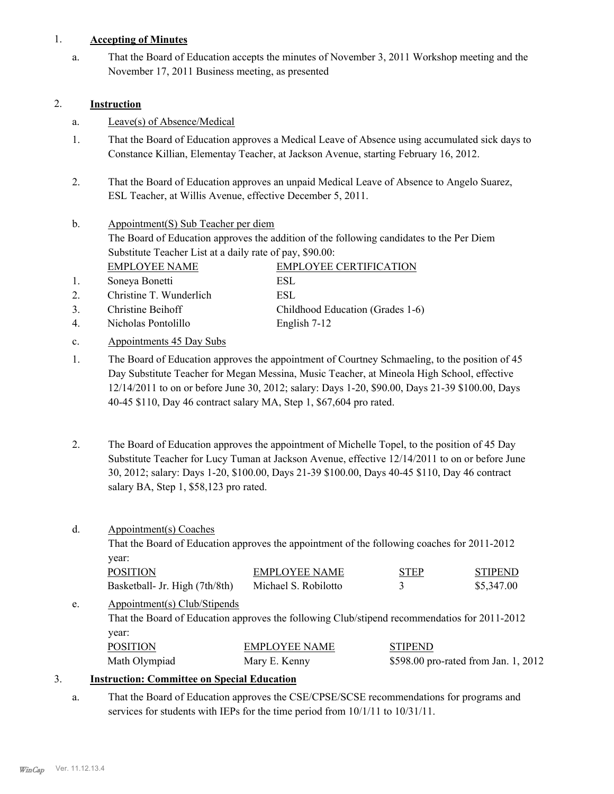### 1. **Accepting of Minutes**

That the Board of Education accepts the minutes of November 3, 2011 Workshop meeting and the November 17, 2011 Business meeting, as presented a.

## 2. **Instruction**

- a. Leave(s) of Absence/Medical
- That the Board of Education approves a Medical Leave of Absence using accumulated sick days to Constance Killian, Elementay Teacher, at Jackson Avenue, starting February 16, 2012. 1.
- That the Board of Education approves an unpaid Medical Leave of Absence to Angelo Suarez, ESL Teacher, at Willis Avenue, effective December 5, 2011. 2.
- Appointment(S) Sub Teacher per diem The Board of Education approves the addition of the following candidates to the Per Diem Substitute Teacher List at a daily rate of pay, \$90.00: b. EMPLOYEE NAME EMPLOYEE CERTIFICATION 1. Soneya Bonetti ESL
- 2. Christine T. Wunderlich ESL 3. Christine Beihoff Childhood Education (Grades 1-6)
- 4. Nicholas Pontolillo English 7-12
- c. Appointments 45 Day Subs
- The Board of Education approves the appointment of Courtney Schmaeling, to the position of 45 Day Substitute Teacher for Megan Messina, Music Teacher, at Mineola High School, effective 12/14/2011 to on or before June 30, 2012; salary: Days 1-20, \$90.00, Days 21-39 \$100.00, Days 40-45 \$110, Day 46 contract salary MA, Step 1, \$67,604 pro rated. 1.
- The Board of Education approves the appointment of Michelle Topel, to the position of 45 Day Substitute Teacher for Lucy Tuman at Jackson Avenue, effective 12/14/2011 to on or before June 30, 2012; salary: Days 1-20, \$100.00, Days 21-39 \$100.00, Days 40-45 \$110, Day 46 contract salary BA, Step 1, \$58,123 pro rated. 2.

| Appointment(s) Coaches                                                                       |                      |                                      |                                                                                             |  |
|----------------------------------------------------------------------------------------------|----------------------|--------------------------------------|---------------------------------------------------------------------------------------------|--|
|                                                                                              |                      |                                      |                                                                                             |  |
| year:                                                                                        |                      |                                      |                                                                                             |  |
| <b>POSITION</b>                                                                              | <b>EMPLOYEE NAME</b> | <b>STEP</b>                          | <b>STIPEND</b>                                                                              |  |
| Basketball- Jr. High (7th/8th)                                                               | Michael S. Robilotto | 3                                    | \$5,347.00                                                                                  |  |
|                                                                                              |                      |                                      |                                                                                             |  |
| That the Board of Education approves the following Club/stipend recommendatios for 2011-2012 |                      |                                      |                                                                                             |  |
| year:                                                                                        |                      |                                      |                                                                                             |  |
| <b>POSITION</b>                                                                              | <b>EMPLOYEE NAME</b> | <b>STIPEND</b>                       |                                                                                             |  |
| Math Olympiad                                                                                | Mary E. Kenny        | \$598.00 pro-rated from Jan. 1, 2012 |                                                                                             |  |
|                                                                                              |                      | Appointment(s) Club/Stipends         | That the Board of Education approves the appointment of the following coaches for 2011-2012 |  |

### 3. **Instruction: Committee on Special Education**

That the Board of Education approves the CSE/CPSE/SCSE recommendations for programs and services for students with IEPs for the time period from  $10/1/11$  to  $10/31/11$ . a.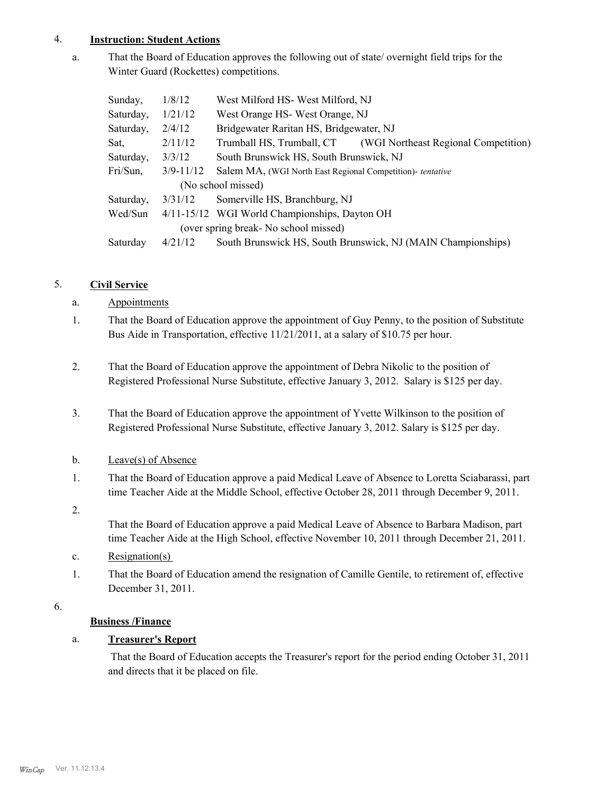### 4. **Instruction: Student Actions**

That the Board of Education approves the following out of state/ overnight field trips for the Winter Guard (Rockettes) competitions. a.

| Sunday,                               | 1/8/12        | West Milford HS-West Milford, NJ                                  |  |  |
|---------------------------------------|---------------|-------------------------------------------------------------------|--|--|
| Saturday,                             | 1/21/12       | West Orange HS-West Orange, NJ                                    |  |  |
| Saturday,                             | 2/4/12        | Bridgewater Raritan HS, Bridgewater, NJ                           |  |  |
| Sat,                                  | 2/11/12       | Trumball HS, Trumball, CT<br>(WGI Northeast Regional Competition) |  |  |
| Saturday,                             | 3/3/12        | South Brunswick HS, South Brunswick, NJ                           |  |  |
| Fri/Sun,                              | $3/9 - 11/12$ | Salem MA, (WGI North East Regional Competition)- tentative        |  |  |
| (No school missed)                    |               |                                                                   |  |  |
| Saturday,                             | 3/31/12       | Somerville HS, Branchburg, NJ                                     |  |  |
| Wed/Sun                               |               | 4/11-15/12 WGI World Championships, Dayton OH                     |  |  |
| (over spring break- No school missed) |               |                                                                   |  |  |
| Saturday                              | 4/21/12       | South Brunswick HS, South Brunswick, NJ (MAIN Championships)      |  |  |

## 5. **Civil Service**

## a. Appointments

- That the Board of Education approve the appointment of Guy Penny, to the position of Substitute Bus Aide in Transportation, effective 11/21/2011, at a salary of \$10.75 per hour. 1.
- That the Board of Education approve the appointment of Debra Nikolic to the position of Registered Professional Nurse Substitute, effective January 3, 2012. Salary is \$125 per day. 2.
- That the Board of Education approve the appointment of Yvette Wilkinson to the position of Registered Professional Nurse Substitute, effective January 3, 2012. Salary is \$125 per day. 3.
- b. Leave(s) of Absence
- That the Board of Education approve a paid Medical Leave of Absence to Loretta Sciabarassi, part time Teacher Aide at the Middle School, effective October 28, 2011 through December 9, 2011. 1.
- 2.

That the Board of Education approve a paid Medical Leave of Absence to Barbara Madison, part time Teacher Aide at the High School, effective November 10, 2011 through December 21, 2011.

- c. Resignation(s)
- That the Board of Education amend the resignation of Camille Gentile, to retirement of, effective December 31, 2011. 1.
- 6.

# **Business /Finance**

# a. **Treasurer's Report**

 That the Board of Education accepts the Treasurer's report for the period ending October 31, 2011 and directs that it be placed on file.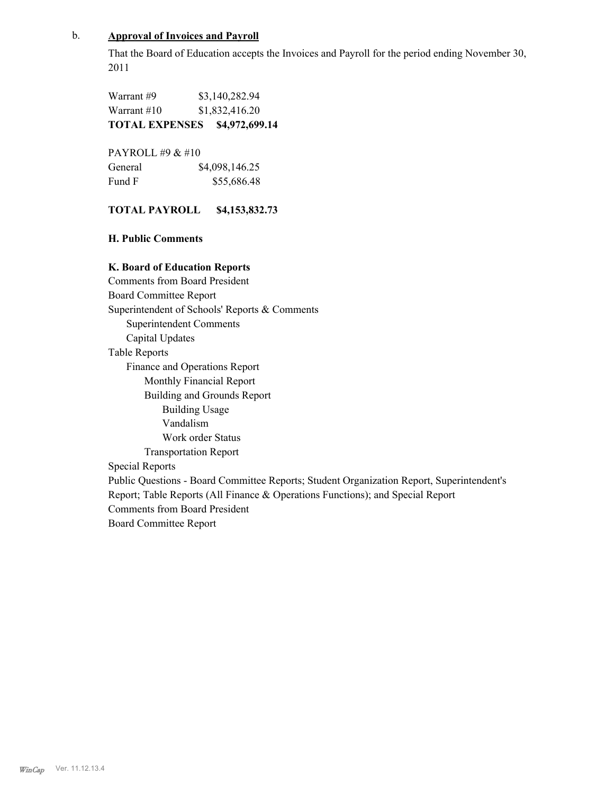### b. **Approval of Invoices and Payroll**

That the Board of Education accepts the Invoices and Payroll for the period ending November 30, 2011

Warrant #9 \$3,140,282.94 Warrant #10 \$1,832,416.20 **TOTAL EXPENSES \$4,972,699.14**

PAYROLL #9 & #10 General  $$4,098,146.25$ Fund F \$55,686.48

#### **TOTAL PAYROLL \$4,153,832.73**

**H. Public Comments**

#### **K. Board of Education Reports**

Comments from Board President Board Committee Report Superintendent of Schools' Reports & Comments Superintendent Comments Capital Updates Table Reports Finance and Operations Report Monthly Financial Report Building and Grounds Report Building Usage Vandalism Work order Status Transportation Report Special Reports Public Questions - Board Committee Reports; Student Organization Report, Superintendent's Report; Table Reports (All Finance & Operations Functions); and Special Report Comments from Board President Board Committee Report